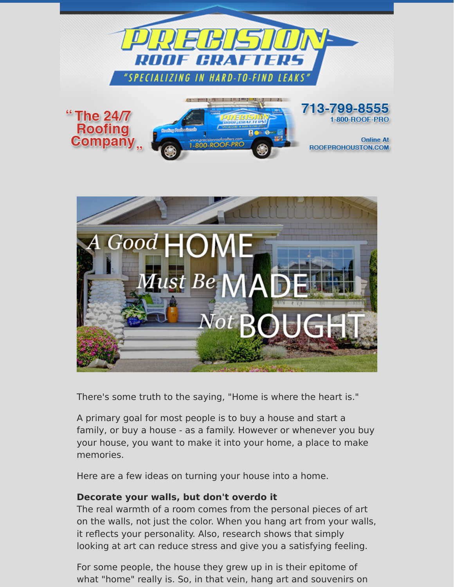

There's some truth to the saying, "Home is where the heart is."

A primary goal for most people is to buy a house and start a family, or buy a house - as a family. However or whenever you buy your house, you want to make it into your home, a place to make memories.

Here are a few ideas on turning your house into a home.

#### **Decorate your walls, but don't overdo it**

The real warmth of a room comes from the personal pieces of art on the walls, not just the color. When you hang art from your walls, it reflects your personality. Also, research shows that simply looking at art can reduce stress and give you a satisfying feeling.

For some people, the house they grew up in is their epitome of what "home" really is. So, in that vein, hang art and souvenirs on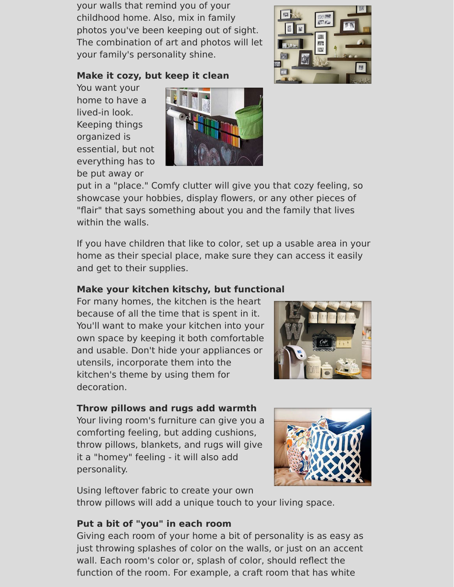your walls that remind you of your childhood home. Also, mix in family photos you've been keeping out of sight. The combination of art and photos will let your family's personality shine.

# 照 **ETF**

#### **Make it cozy, but keep it clean**

You want your home to have a lived-in look. Keeping things organized is essential, but not everything has to be put away or



put in a "place." Comfy clutter will give you that cozy feeling, so showcase your hobbies, display flowers, or any other pieces of "flair" that says something about you and the family that lives within the walls.

If you have children that like to color, set up a usable area in your home as their special place, make sure they can access it easily and get to their supplies.

### **Make your kitchen kitschy, but functional**

For many homes, the kitchen is the heart because of all the time that is spent in it. You'll want to make your kitchen into your own space by keeping it both comfortable and usable. Don't hide your appliances or utensils, incorporate them into the kitchen's theme by using them for decoration.



## **Throw pillows and rugs add warmth**

Your living room's furniture can give you a comforting feeling, but adding cushions, throw pillows, blankets, and rugs will give it a "homey" feeling - it will also add personality.



Using leftover fabric to create your own

throw pillows will add a unique touch to your living space.

### **Put a bit of "you" in each room**

Giving each room of your home a bit of personality is as easy as just throwing splashes of color on the walls, or just on an accent wall. Each room's color or, splash of color, should reflect the function of the room. For example, a craft room that has white